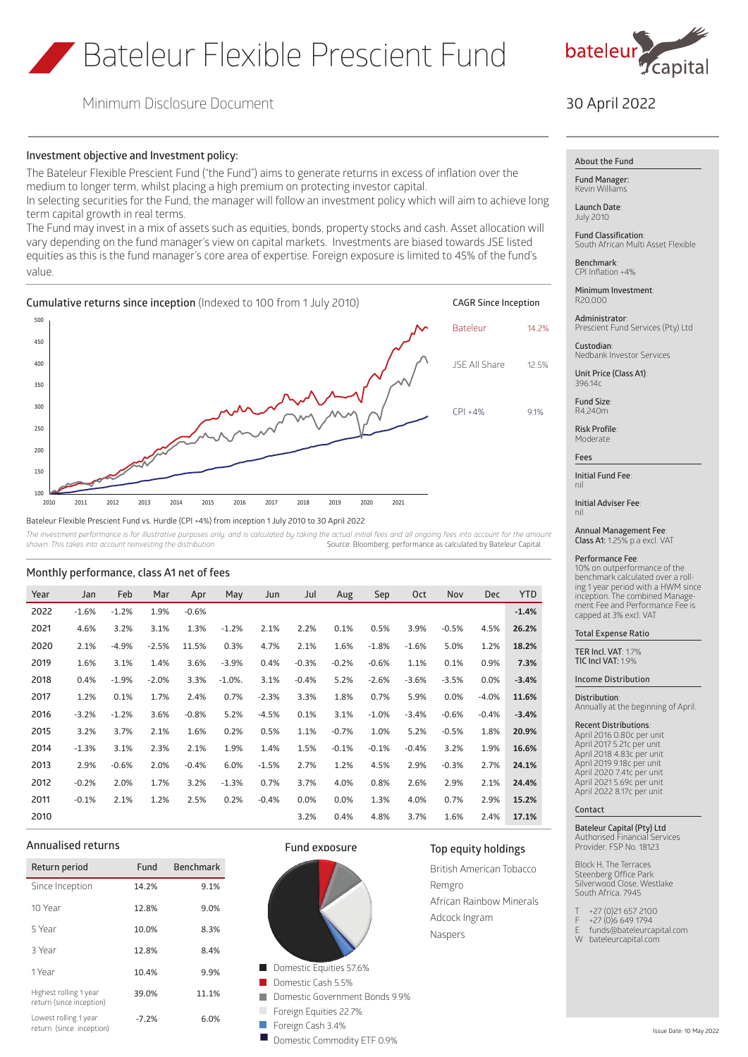# Bateleur Flexible Prescient Fund



Minimum Disclosure Document

# 30 April 2022

# **Investment objective and Investment policy:**

The Bateleur Flexible Prescient Fund ("the Fund") aims to generate returns in excess of inflation over the medium to longer term, whilst placing a high premium on protecting investor capital.

In selecting securities for the Fund, the manager will follow an investment policy which will aim to achieve long term capital growth in real terms.

The Fund may invest in a mix of assets such as equities, bonds, property stocks and cash. Asset allocation will vary depending on the fund manager's view on capital markets. Investments are biased towards JSE listed equities as this is the fund manager's core area of expertise. Foreign exposure is limited to 45% of the fund's value.



Bateleur Flexible Prescient Fund vs. Hurdle (CPI +4%) from inception 1 July 2010 to 30 April 2022

The investment performance is for illustrative purposes only, and is calculated by taking the actual initial fees and all ongoing fees into account for the amount *shown. This takes into account reinvesting the distribution.* Source: Bloomberg, performance as calculated by Bateleur Capital.

| Year | Jan     | Feb     | Mar     | Apr     | May        | Jun     | Jul     | Aug     | Sep     | Oct     | Nov     | <b>Dec</b> | <b>YTD</b> |
|------|---------|---------|---------|---------|------------|---------|---------|---------|---------|---------|---------|------------|------------|
| 2022 | $-1.6%$ | $-1.2%$ | 1.9%    | $-0.6%$ |            |         |         |         |         |         |         |            | $-1.4%$    |
| 2021 | 4.6%    | 3.2%    | 3.1%    | 1.3%    | $-1.2%$    | 2.1%    | 2.2%    | 0.1%    | 0.5%    | 3.9%    | $-0.5%$ | 4.5%       | 26.2%      |
| 2020 | 2.1%    | $-4.9%$ | $-2.5%$ | 11.5%   | 0.3%       | 4.7%    | 2.1%    | 1.6%    | $-1.8%$ | $-1.6%$ | 5.0%    | 1.2%       | 18.2%      |
| 2019 | 1.6%    | 3.1%    | 1.4%    | 3.6%    | $-3.9%$    | 0.4%    | $-0.3%$ | $-0.2%$ | $-0.6%$ | 1.1%    | 0.1%    | 0.9%       | 7.3%       |
| 2018 | 0.4%    | $-1.9%$ | $-2.0%$ | 3.3%    | $-1.0\%$ . | 3.1%    | $-0.4%$ | 5.2%    | $-2.6%$ | $-3.6%$ | $-3.5%$ | 0.0%       | $-3.4%$    |
| 2017 | 1.2%    | 0.1%    | 1.7%    | 2.4%    | 0.7%       | $-2.3%$ | 3.3%    | 1.8%    | 0.7%    | 5.9%    | 0.0%    | $-4.0%$    | 11.6%      |
| 2016 | $-3.2%$ | $-1.2%$ | 3.6%    | $-0.8%$ | 5.2%       | $-4.5%$ | 0.1%    | 3.1%    | $-1.0%$ | $-3.4%$ | $-0.6%$ | $-0.4%$    | $-3.4%$    |
| 2015 | 3.2%    | 3.7%    | 2.1%    | 1.6%    | 0.2%       | 0.5%    | 1.1%    | $-0.7%$ | 1.0%    | 5.2%    | $-0.5%$ | 1.8%       | 20.9%      |
| 2014 | $-1.3%$ | 3.1%    | 2.3%    | 2.1%    | 1.9%       | 1.4%    | 1.5%    | $-0.1%$ | $-0.1%$ | $-0.4%$ | 3.2%    | 1.9%       | 16.6%      |
| 2013 | 2.9%    | $-0.6%$ | 2.0%    | $-0.4%$ | 6.0%       | $-1.5%$ | 2.7%    | 1.2%    | 4.5%    | 2.9%    | $-0.3%$ | 2.7%       | 24.1%      |
| 2012 | $-0.2%$ | 2.0%    | 1.7%    | 3.2%    | $-1.3%$    | 0.7%    | 3.7%    | 4.0%    | 0.8%    | 2.6%    | 2.9%    | 2.1%       | 24.4%      |
| 2011 | $-0.1%$ | 2.1%    | 1.2%    | 2.5%    | 0.2%       | $-0.4%$ | 0.0%    | 0.0%    | 1.3%    | 4.0%    | 0.7%    | 2.9%       | 15.2%      |
| 2010 |         |         |         |         |            |         | 3.2%    | 0.4%    | 4.8%    | 3.7%    | 1.6%    | 2.4%       | 17.1%      |

# **Monthly performance, class A1 net of fees**

# **Annualised returns**

| Return period                                      | Fund    | <b>Benchmark</b> |
|----------------------------------------------------|---------|------------------|
| Since Inception                                    | 14.2%   | 9.1%             |
| 10 Year                                            | 12.8%   | 9.0%             |
| 5 Year                                             | 10.0%   | 8.3%             |
| 3 Year                                             | 12.8%   | 8.4%             |
| 1 Year                                             | 10.4%   | 9.9%             |
| Highest rolling 1 year<br>return (since inception) | 39.0%   | 11.1%            |
| Lowest rolling 1 year<br>return (since inception)  | $-7.2%$ | 6.0%             |



**Fund exposure**



**About the Fund**

**Fund Manager:** Kevin William

**Launch Date**: July 2010

**Fund Classification**: South African Multi Asset Flexible

**Benchmark**: CPI Inflation +4%

**Minimum Investment**: R20,000

**Administrator**: Prescient Fund Services (Pty) Ltd

**Custodian**: Nedbank Investor Services

**Unit Price (Class A1)**: 396.14c

**Fund Size**: R4,240m

**Risk Profile**: **Moderate** 

**Fees**

**Initial Fund Fee**: nil

**Initial Adviser Fee**: nil

**Annual Management Fee**: **Class A1:** 1.25% p.a excl. VAT

## **Performance Fee**:

10% on outperformance of the benchmark calculated over a rolling 1 year period with a HWM since inception. The combined Management Fee and Performance Fee is capped at 3% excl. VAT

**Total Expense Ratio**

**TER Incl. VAT**: 1.7% **TIC Incl VAT:** 1.9%

**Income Distribution**

**Distribution**:

Annually at the beginning of April.

**Recent Distributions**: April 2016 0.80c per unit April 2017 5.21c per unit April 2018 4.83c per unit April 2019 9.18c per unit April 2020 7.41c per unit April 2021 5.69c per unit April 2022 8.17c per unit

## **Contact**

**Top equity holdings** British American Tobacco

African Rainbow Minerals

Remgro

Adcock Ingram Naspers

**Bateleur Capital (Pty) Ltd**

Authorised Financial Services Provider, FSP No. 18123

Block H, The Terraces Block H, The Terraces Silverwood Close, Westlake South Africa, 7945

T +27 (0)21 657 2100

- F +27 (0)6 649 1794
- E funds@bateleurcapital.com
- W bateleurcapital.com